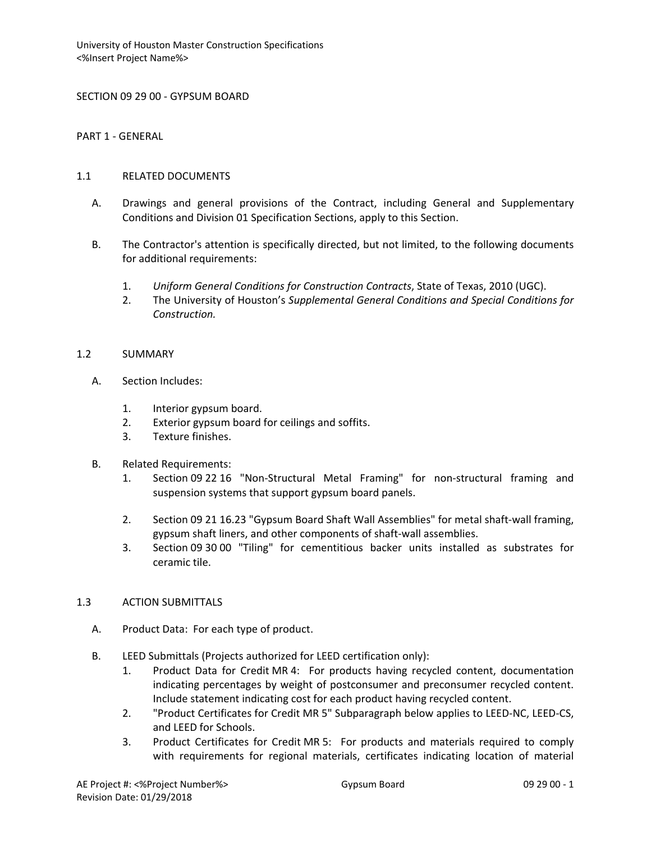SECTION 09 29 00 - GYPSUM BOARD

PART 1 - GENERAL

#### 1.1 RELATED DOCUMENTS

- A. Drawings and general provisions of the Contract, including General and Supplementary Conditions and Division 01 Specification Sections, apply to this Section.
- B. The Contractor's attention is specifically directed, but not limited, to the following documents for additional requirements:
	- 1. *Uniform General Conditions for Construction Contracts*, State of Texas, 2010 (UGC).
	- 2. The University of Houston's *Supplemental General Conditions and Special Conditions for Construction.*

#### 1.2 SUMMARY

- A. Section Includes:
	- 1. Interior gypsum board.
	- 2. Exterior gypsum board for ceilings and soffits.
	- 3. Texture finishes.
- B. Related Requirements:
	- 1. Section 09 22 16 "Non-Structural Metal Framing" for non-structural framing and suspension systems that support gypsum board panels.
	- 2. Section 09 21 16.23 "Gypsum Board Shaft Wall Assemblies" for metal shaft-wall framing, gypsum shaft liners, and other components of shaft-wall assemblies.
	- 3. Section 09 30 00 "Tiling" for cementitious backer units installed as substrates for ceramic tile.

# 1.3 ACTION SUBMITTALS

- A. Product Data: For each type of product.
- B. LEED Submittals (Projects authorized for LEED certification only):
	- 1. Product Data for Credit MR 4: For products having recycled content, documentation indicating percentages by weight of postconsumer and preconsumer recycled content. Include statement indicating cost for each product having recycled content.
	- 2. "Product Certificates for Credit MR 5" Subparagraph below applies to LEED-NC, LEED-CS, and LEED for Schools.
	- 3. Product Certificates for Credit MR 5: For products and materials required to comply with requirements for regional materials, certificates indicating location of material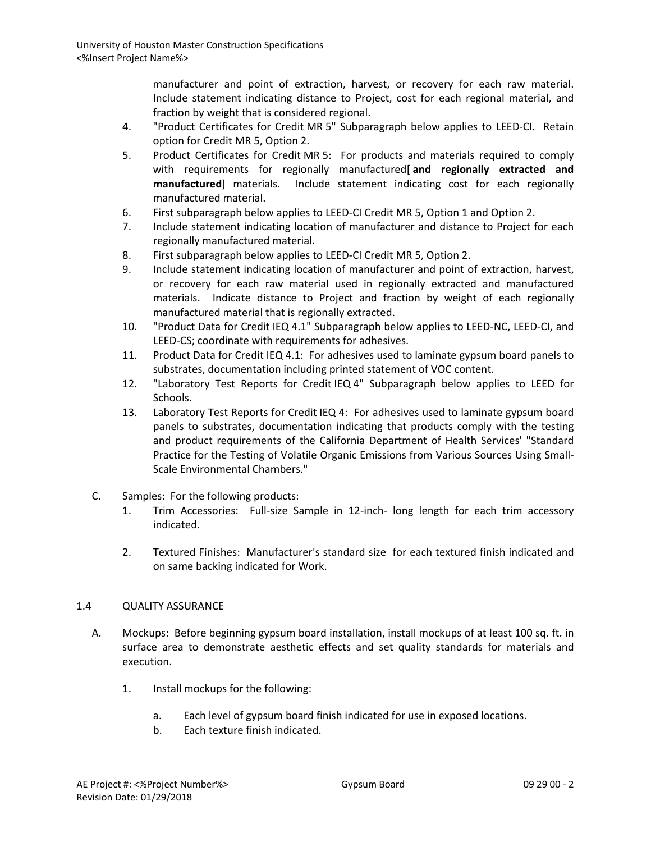manufacturer and point of extraction, harvest, or recovery for each raw material. Include statement indicating distance to Project, cost for each regional material, and fraction by weight that is considered regional.

- 4. "Product Certificates for Credit MR 5" Subparagraph below applies to LEED-CI. Retain option for Credit MR 5, Option 2.
- 5. Product Certificates for Credit MR 5: For products and materials required to comply with requirements for regionally manufactured[ **and regionally extracted and manufactured**] materials. Include statement indicating cost for each regionally manufactured material.
- 6. First subparagraph below applies to LEED-CI Credit MR 5, Option 1 and Option 2.
- 7. Include statement indicating location of manufacturer and distance to Project for each regionally manufactured material.
- 8. First subparagraph below applies to LEED-CI Credit MR 5, Option 2.
- 9. Include statement indicating location of manufacturer and point of extraction, harvest, or recovery for each raw material used in regionally extracted and manufactured materials. Indicate distance to Project and fraction by weight of each regionally manufactured material that is regionally extracted.
- 10. "Product Data for Credit IEQ 4.1" Subparagraph below applies to LEED-NC, LEED-CI, and LEED-CS; coordinate with requirements for adhesives.
- 11. Product Data for Credit IEQ 4.1: For adhesives used to laminate gypsum board panels to substrates, documentation including printed statement of VOC content.
- 12. "Laboratory Test Reports for Credit IEQ 4" Subparagraph below applies to LEED for Schools.
- 13. Laboratory Test Reports for Credit IEQ 4: For adhesives used to laminate gypsum board panels to substrates, documentation indicating that products comply with the testing and product requirements of the California Department of Health Services' "Standard Practice for the Testing of Volatile Organic Emissions from Various Sources Using Small-Scale Environmental Chambers."
- C. Samples: For the following products:
	- 1. Trim Accessories: Full-size Sample in 12-inch- long length for each trim accessory indicated.
	- 2. Textured Finishes: Manufacturer's standard size for each textured finish indicated and on same backing indicated for Work.

# 1.4 QUALITY ASSURANCE

- A. Mockups: Before beginning gypsum board installation, install mockups of at least 100 sq. ft. in surface area to demonstrate aesthetic effects and set quality standards for materials and execution.
	- 1. Install mockups for the following:
		- a. Each level of gypsum board finish indicated for use in exposed locations.
		- b. Each texture finish indicated.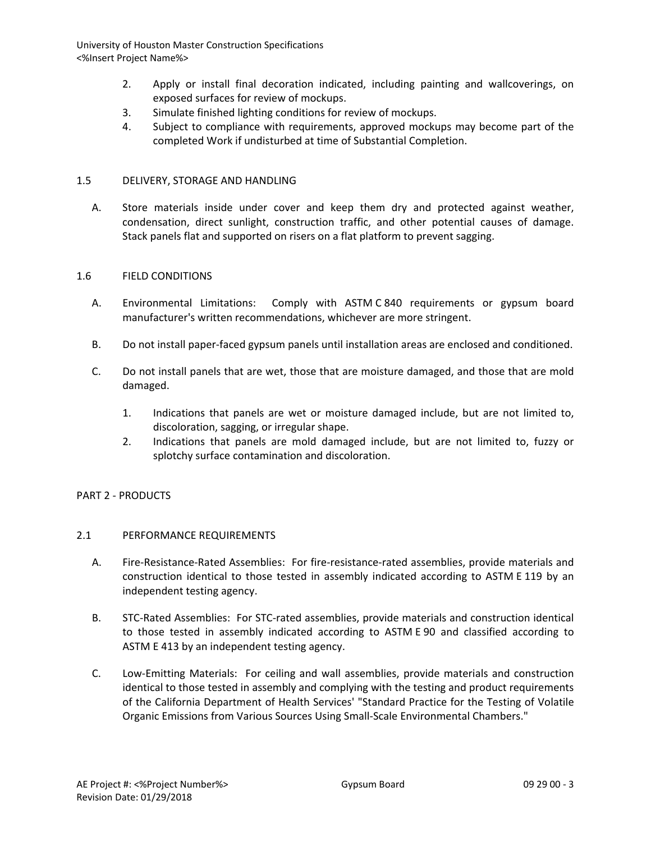- 2. Apply or install final decoration indicated, including painting and wallcoverings, on exposed surfaces for review of mockups.
- 3. Simulate finished lighting conditions for review of mockups.
- 4. Subject to compliance with requirements, approved mockups may become part of the completed Work if undisturbed at time of Substantial Completion.

### 1.5 DELIVERY, STORAGE AND HANDLING

A. Store materials inside under cover and keep them dry and protected against weather, condensation, direct sunlight, construction traffic, and other potential causes of damage. Stack panels flat and supported on risers on a flat platform to prevent sagging.

#### 1.6 FIELD CONDITIONS

- A. Environmental Limitations: Comply with ASTM C 840 requirements or gypsum board manufacturer's written recommendations, whichever are more stringent.
- B. Do not install paper-faced gypsum panels until installation areas are enclosed and conditioned.
- C. Do not install panels that are wet, those that are moisture damaged, and those that are mold damaged.
	- 1. Indications that panels are wet or moisture damaged include, but are not limited to, discoloration, sagging, or irregular shape.
	- 2. Indications that panels are mold damaged include, but are not limited to, fuzzy or splotchy surface contamination and discoloration.

# PART 2 - PRODUCTS

# 2.1 PERFORMANCE REQUIREMENTS

- A. Fire-Resistance-Rated Assemblies: For fire-resistance-rated assemblies, provide materials and construction identical to those tested in assembly indicated according to ASTM E 119 by an independent testing agency.
- B. STC-Rated Assemblies: For STC-rated assemblies, provide materials and construction identical to those tested in assembly indicated according to ASTM E 90 and classified according to ASTM E 413 by an independent testing agency.
- C. Low-Emitting Materials: For ceiling and wall assemblies, provide materials and construction identical to those tested in assembly and complying with the testing and product requirements of the California Department of Health Services' "Standard Practice for the Testing of Volatile Organic Emissions from Various Sources Using Small-Scale Environmental Chambers."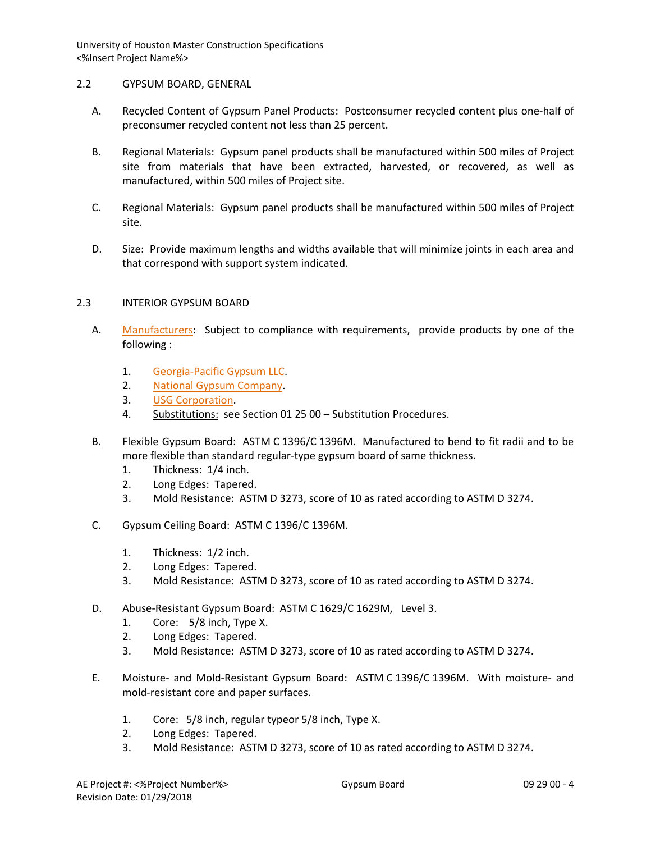# 2.2 GYPSUM BOARD, GENERAL

- A. Recycled Content of Gypsum Panel Products: Postconsumer recycled content plus one-half of preconsumer recycled content not less than 25 percent.
- B. Regional Materials: Gypsum panel products shall be manufactured within 500 miles of Project site from materials that have been extracted, harvested, or recovered, as well as manufactured, within 500 miles of Project site.
- C. Regional Materials: Gypsum panel products shall be manufactured within 500 miles of Project site.
- D. Size: Provide maximum lengths and widths available that will minimize joints in each area and that correspond with support system indicated.

#### 2.3 INTERIOR GYPSUM BOARD

- A. [Manufacturers:](http://www.specagent.com/LookUp/?ulid=249&mf=04&src=wd) Subject to compliance with requirements, provide products by one of the following :
	- 1. [Georgia-Pacific Gypsum LLC.](http://www.specagent.com/LookUp/?uid=123456792438&mf=04&src=wd)
	- 2. [National Gypsum Company.](http://www.specagent.com/LookUp/?uid=123456792440&mf=04&src=wd)
	- 3. [USG Corporation.](http://www.specagent.com/LookUp/?uid=123456792444&mf=04&src=wd)
	- 4. Substitutions: see Section 01 25 00 Substitution Procedures.
- B. Flexible Gypsum Board: ASTM C 1396/C 1396M. Manufactured to bend to fit radii and to be more flexible than standard regular-type gypsum board of same thickness.
	- 1. Thickness: 1/4 inch.
	- 2. Long Edges: Tapered.
	- 3. Mold Resistance: ASTM D 3273, score of 10 as rated according to ASTM D 3274.
- C. Gypsum Ceiling Board: ASTM C 1396/C 1396M.
	- 1. Thickness: 1/2 inch.
	- 2. Long Edges: Tapered.
	- 3. Mold Resistance: ASTM D 3273, score of 10 as rated according to ASTM D 3274.
- D. Abuse-Resistant Gypsum Board: ASTM C 1629/C 1629M, Level 3.
	- 1. Core: 5/8 inch, Type X.
	- 2. Long Edges: Tapered.
	- 3. Mold Resistance: ASTM D 3273, score of 10 as rated according to ASTM D 3274.
- E. Moisture- and Mold-Resistant Gypsum Board: ASTM C 1396/C 1396M. With moisture- and mold-resistant core and paper surfaces.
	- 1. Core: 5/8 inch, regular typeor 5/8 inch, Type X.
	- 2. Long Edges: Tapered.
	- 3. Mold Resistance: ASTM D 3273, score of 10 as rated according to ASTM D 3274.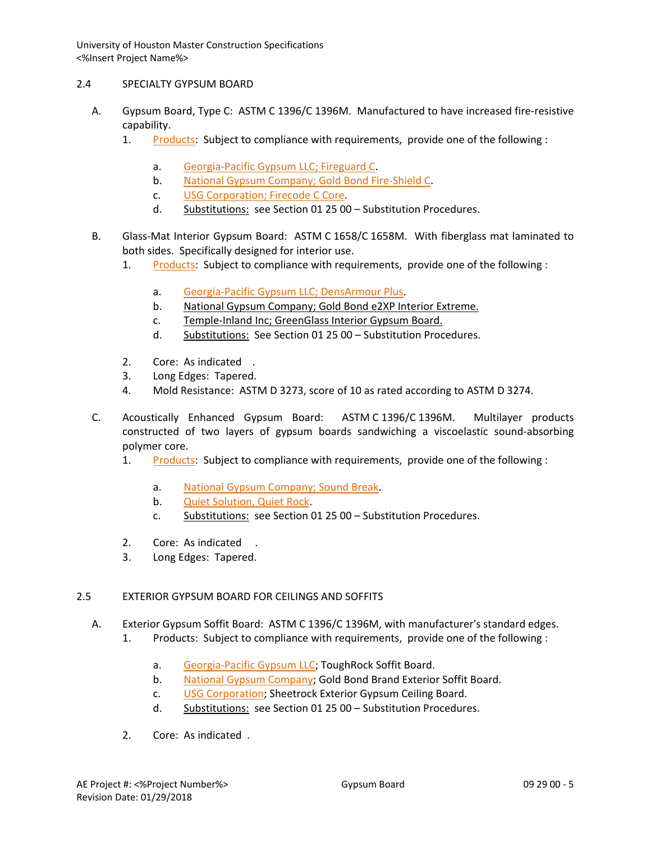# 2.4 SPECIALTY GYPSUM BOARD

- A. Gypsum Board, Type C: ASTM C 1396/C 1396M. Manufactured to have increased fire-resistive capability.
	- 1. [Products:](http://www.specagent.com/LookUp/?ulid=250&mf=04&src=wd) Subject to compliance with requirements, provide one of the following :
		- a. [Georgia-Pacific Gypsum LLC; Fireguard C.](http://www.specagent.com/LookUp/?uid=123456814776&mf=04&src=wd)
		- b. [National Gypsum Company; Gold Bond Fire-Shield C.](http://www.specagent.com/LookUp/?uid=123456814778&mf=04&src=wd)
		- c. [USG Corporation; Firecode C Core.](http://www.specagent.com/LookUp/?uid=123456814781&mf=04&src=wd)
		- d. Substitutions: see Section 01 25 00 Substitution Procedures.
- B. Glass-Mat Interior Gypsum Board: ASTM C 1658/C 1658M. With fiberglass mat laminated to both sides. Specifically designed for interior use.
	- 1. [Products:](http://www.specagent.com/LookUp/?ulid=251&mf=04&src=wd) Subject to compliance with requirements, provide one of the following :
		- a. [Georgia-Pacific Gypsum LLC; DensArmour Plus.](http://www.specagent.com/LookUp/?uid=123456814782&mf=04&src=wd)
		- b. National Gypsum Company; Gold Bond e2XP Interior Extreme.
		- c. Temple-Inland Inc; GreenGlass Interior Gypsum Board.
		- d. Substitutions: See Section 01 25 00 Substitution Procedures.
	- 2. Core: As indicated .
	- 3. Long Edges: Tapered.
	- 4. Mold Resistance: ASTM D 3273, score of 10 as rated according to ASTM D 3274.
- C. Acoustically Enhanced Gypsum Board: ASTM C 1396/C 1396M. Multilayer products constructed of two layers of gypsum boards sandwiching a viscoelastic sound-absorbing polymer core.
	- 1. [Products:](http://www.specagent.com/LookUp/?ulid=252&mf=04&src=wd) Subject to compliance with requirements, provide one of the following :
		- a. [National Gypsum Company; Sound Break.](http://www.specagent.com/LookUp/?uid=123456814783&mf=04&src=wd)
		- b. [Quiet Solution, Quiet Rock.](http://www.specagent.com/LookUp/?uid=123456814784&mf=04&src=wd)
		- c. Substitutions: see Section 01 25 00 Substitution Procedures.
	- 2. Core: As indicated .
	- 3. Long Edges: Tapered.

# 2.5 EXTERIOR GYPSUM BOARD FOR CEILINGS AND SOFFITS

- A. Exterior Gypsum Soffit Board: ASTM C 1396/C 1396M, with manufacturer's standard edges.
	- 1. Products: Subject to compliance with requirements, provide one of the following :
		- a. [Georgia-Pacific Gypsum LLC;](http://www.specagent.com/LookUp/?uid=123456792452&mf=04&src=wd) ToughRock Soffit Board.
		- b. [National Gypsum Company;](http://www.specagent.com/LookUp/?uid=123456792455&mf=04&src=wd) Gold Bond Brand Exterior Soffit Board.
		- c. [USG Corporation;](http://www.specagent.com/LookUp/?uid=123456792459&mf=04&src=wd) Sheetrock Exterior Gypsum Ceiling Board.
		- d. Substitutions: see Section 01 25 00 Substitution Procedures.
	- 2. Core: As indicated .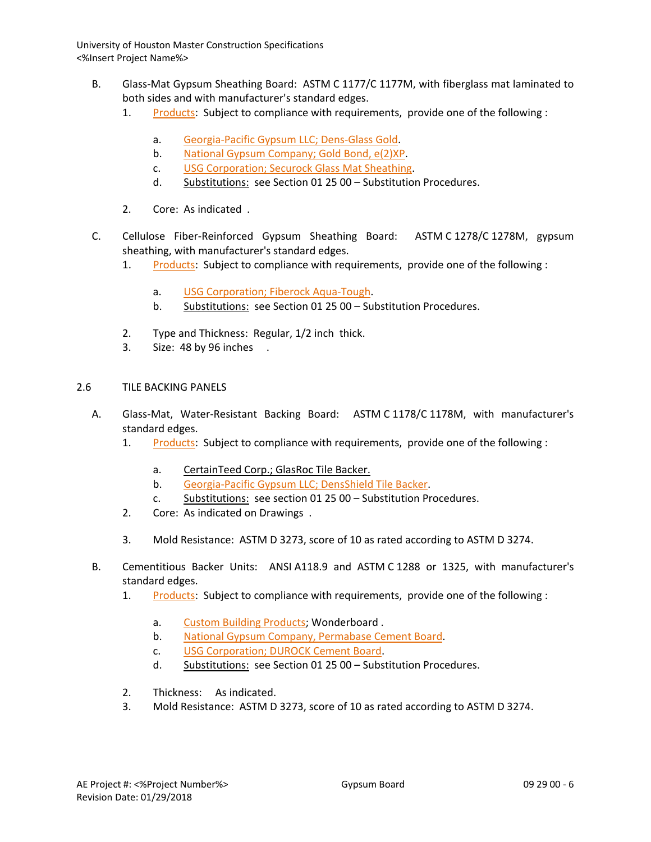- B. Glass-Mat Gypsum Sheathing Board: ASTM C 1177/C 1177M, with fiberglass mat laminated to both sides and with manufacturer's standard edges.
	- 1. [Products:](http://www.specagent.com/LookUp/?ulid=255&mf=04&src=wd) Subject to compliance with requirements, provide one of the following :
		- a. [Georgia-Pacific Gypsum LLC; Dens-Glass Gold.](http://www.specagent.com/LookUp/?uid=123456814787&mf=04&src=wd)
		- b. [National Gypsum Company; Gold Bond, e\(2\)XP.](http://www.specagent.com/LookUp/?uid=123456814788&mf=04&src=wd)
		- c. [USG Corporation; Securock Glass Mat Sheathing.](http://www.specagent.com/LookUp/?uid=123456814789&mf=04&src=wd)
		- d. Substitutions: see Section 01 25 00 Substitution Procedures.
	- 2. Core: As indicated .
- C. Cellulose Fiber-Reinforced Gypsum Sheathing Board: ASTM C 1278/C 1278M, gypsum sheathing, with manufacturer's standard edges.
	- 1. [Products:](http://www.specagent.com/LookUp/?ulid=256&mf=04&src=wd) Subject to compliance with requirements, provide one of the following :
		- a. [USG Corporation; Fiberock Aqua-Tough.](http://www.specagent.com/LookUp/?uid=123456814790&mf=04&src=wd)
		- b. Substitutions: see Section 01 25 00 Substitution Procedures.
	- 2. Type and Thickness: Regular, 1/2 inch thick.
	- 3. Size: 48 by 96 inches .

# 2.6 TILE BACKING PANELS

- A. Glass-Mat, Water-Resistant Backing Board: ASTM C 1178/C 1178M, with manufacturer's standard edges.
	- 1. [Products:](http://www.specagent.com/LookUp/?ulid=257&mf=04&src=wd) Subject to compliance with requirements, provide one of the following :
		- a. CertainTeed Corp.; GlasRoc Tile Backer.
		- b. [Georgia-Pacific Gypsum LLC; DensShield Tile Backer.](http://www.specagent.com/LookUp/?uid=123456814792&mf=04&src=wd)
		- c. Substitutions: see section 01 25 00 Substitution Procedures.
	- 2. Core: As indicated on Drawings .
	- 3. Mold Resistance: ASTM D 3273, score of 10 as rated according to ASTM D 3274.
- B. Cementitious Backer Units: ANSI A118.9 and ASTM C 1288 or 1325, with manufacturer's standard edges.
	- 1. [Products:](http://www.specagent.com/LookUp/?ulid=258&mf=04&src=wd) Subject to compliance with requirements, provide one of the following :
		- a. [Custom Building Products;](http://www.specagent.com/LookUp/?uid=123456814795&mf=04&src=wd) Wonderboard .
		- b. [National Gypsum Company, Permabase](http://www.specagent.com/LookUp/?uid=123456814798&mf=04&src=wd) Cement Board.
		- c. [USG Corporation; DUROCK Cement Board.](http://www.specagent.com/LookUp/?uid=123456814799&mf=04&src=wd)
		- d. Substitutions: see Section 01 25 00 Substitution Procedures.
	- 2. Thickness: As indicated.
	- 3. Mold Resistance: ASTM D 3273, score of 10 as rated according to ASTM D 3274.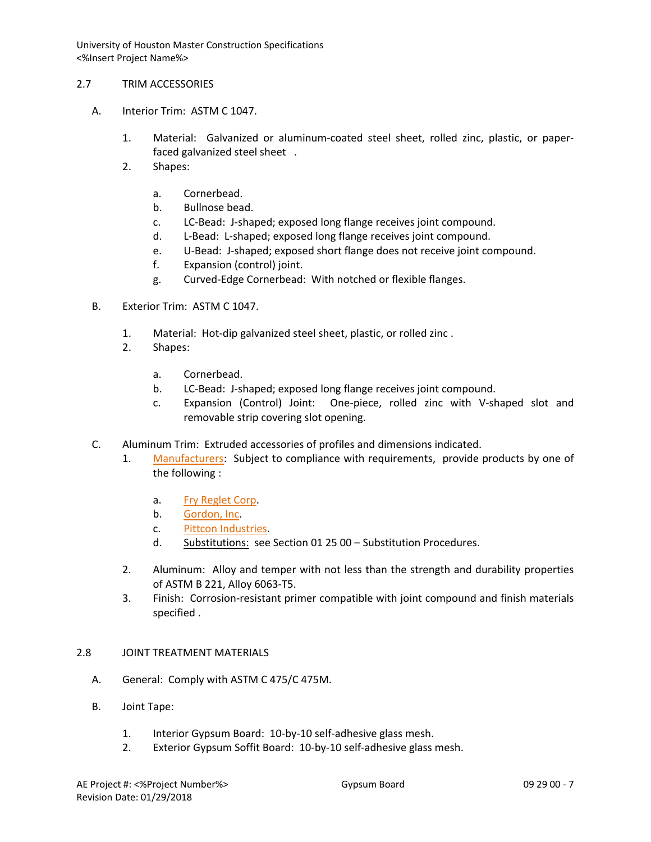### 2.7 TRIM ACCESSORIES

- A. Interior Trim: ASTM C 1047.
	- 1. Material: Galvanized or aluminum-coated steel sheet, rolled zinc, plastic, or paperfaced galvanized steel sheet .
	- 2. Shapes:
		- a. Cornerbead.
		- b. Bullnose bead.
		- c. LC-Bead: J-shaped; exposed long flange receives joint compound.
		- d. L-Bead: L-shaped; exposed long flange receives joint compound.
		- e. U-Bead: J-shaped; exposed short flange does not receive joint compound.
		- f. Expansion (control) joint.
		- g. Curved-Edge Cornerbead: With notched or flexible flanges.
- B. Exterior Trim: ASTM C 1047.
	- 1. Material: Hot-dip galvanized steel sheet, plastic, or rolled zinc .
	- 2. Shapes:
		- a. Cornerbead.
		- b. LC-Bead: J-shaped; exposed long flange receives joint compound.
		- c. Expansion (Control) Joint: One-piece, rolled zinc with V-shaped slot and removable strip covering slot opening.
- C. Aluminum Trim: Extruded accessories of profiles and dimensions indicated.
	- 1. [Manufacturers:](http://www.specagent.com/LookUp/?ulid=260&mf=04&src=wd) Subject to compliance with requirements, provide products by one of the following :
		- a. [Fry Reglet Corp.](http://www.specagent.com/LookUp/?uid=123456792476&mf=04&src=wd)
		- b. [Gordon, Inc.](http://www.specagent.com/LookUp/?uid=123456792479&mf=04&src=wd)
		- c. [Pittcon Industries.](http://www.specagent.com/LookUp/?uid=123456792483&mf=04&src=wd)
		- d. Substitutions: see Section 01 25 00 Substitution Procedures.
	- 2. Aluminum: Alloy and temper with not less than the strength and durability properties of ASTM B 221, Alloy 6063-T5.
	- 3. Finish: Corrosion-resistant primer compatible with joint compound and finish materials specified .

# 2.8 JOINT TREATMENT MATERIALS

- A. General: Comply with ASTM C 475/C 475M.
- B. Joint Tape:
	- 1. Interior Gypsum Board: 10-by-10 self-adhesive glass mesh.
	- 2. Exterior Gypsum Soffit Board: 10-by-10 self-adhesive glass mesh.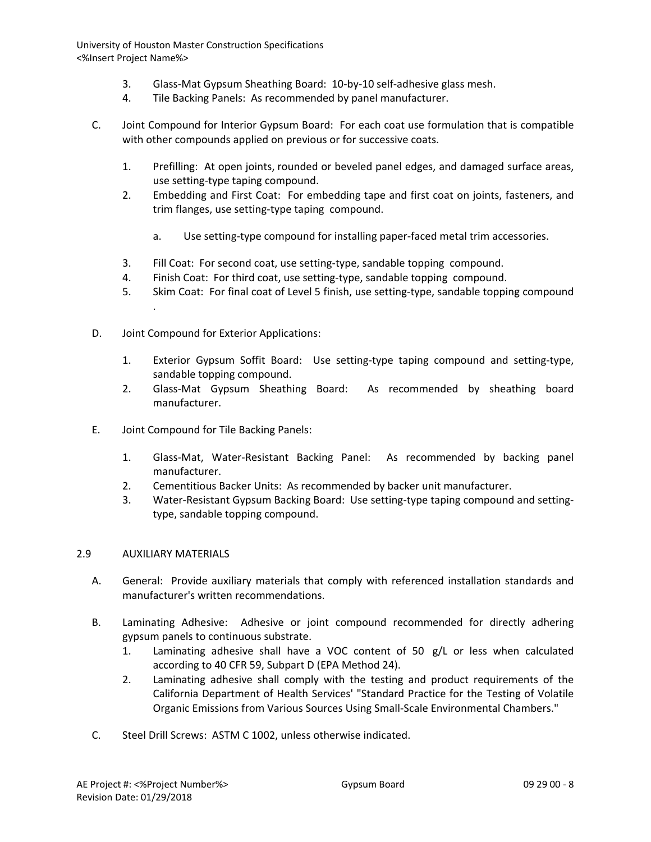- 3. Glass-Mat Gypsum Sheathing Board: 10-by-10 self-adhesive glass mesh.
- 4. Tile Backing Panels: As recommended by panel manufacturer.
- C. Joint Compound for Interior Gypsum Board: For each coat use formulation that is compatible with other compounds applied on previous or for successive coats.
	- 1. Prefilling: At open joints, rounded or beveled panel edges, and damaged surface areas, use setting-type taping compound.
	- 2. Embedding and First Coat: For embedding tape and first coat on joints, fasteners, and trim flanges, use setting-type taping compound.
		- a. Use setting-type compound for installing paper-faced metal trim accessories.
	- 3. Fill Coat: For second coat, use setting-type, sandable topping compound.
	- 4. Finish Coat: For third coat, use setting-type, sandable topping compound.
	- 5. Skim Coat: For final coat of Level 5 finish, use setting-type, sandable topping compound .
- D. Joint Compound for Exterior Applications:
	- 1. Exterior Gypsum Soffit Board: Use setting-type taping compound and setting-type, sandable topping compound.
	- 2. Glass-Mat Gypsum Sheathing Board: As recommended by sheathing board manufacturer.
- E. Joint Compound for Tile Backing Panels:
	- 1. Glass-Mat, Water-Resistant Backing Panel: As recommended by backing panel manufacturer.
	- 2. Cementitious Backer Units: As recommended by backer unit manufacturer.
	- 3. Water-Resistant Gypsum Backing Board: Use setting-type taping compound and settingtype, sandable topping compound.

# 2.9 AUXILIARY MATERIALS

- A. General: Provide auxiliary materials that comply with referenced installation standards and manufacturer's written recommendations.
- B. Laminating Adhesive: Adhesive or joint compound recommended for directly adhering gypsum panels to continuous substrate.
	- 1. Laminating adhesive shall have a VOC content of 50 g/L or less when calculated according to 40 CFR 59, Subpart D (EPA Method 24).
	- 2. Laminating adhesive shall comply with the testing and product requirements of the California Department of Health Services' "Standard Practice for the Testing of Volatile Organic Emissions from Various Sources Using Small-Scale Environmental Chambers."
- C. Steel Drill Screws: ASTM C 1002, unless otherwise indicated.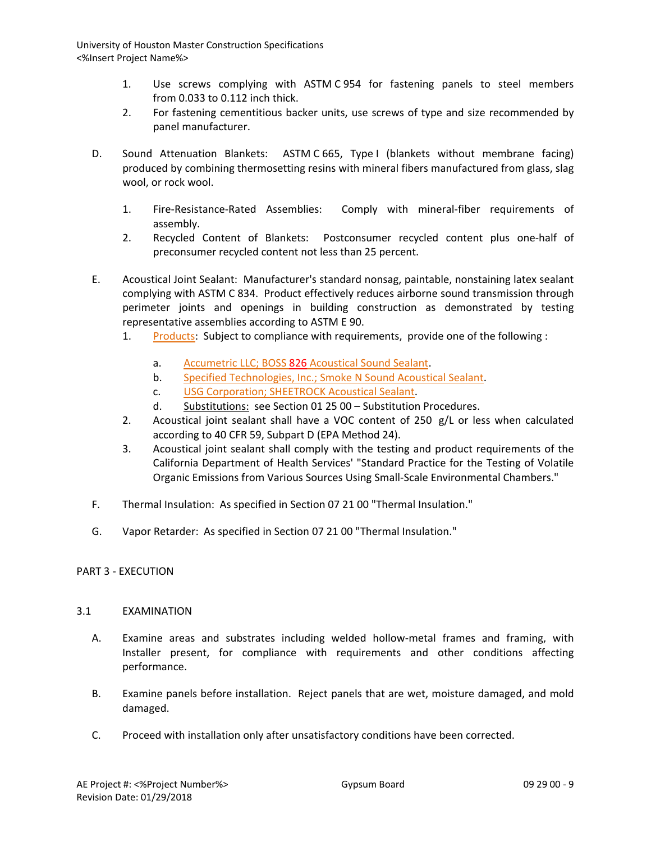- 1. Use screws complying with ASTM C 954 for fastening panels to steel members from 0.033 to 0.112 inch thick.
- 2. For fastening cementitious backer units, use screws of type and size recommended by panel manufacturer.
- D. Sound Attenuation Blankets: ASTM C 665, Type I (blankets without membrane facing) produced by combining thermosetting resins with mineral fibers manufactured from glass, slag wool, or rock wool.
	- 1. Fire-Resistance-Rated Assemblies: Comply with mineral-fiber requirements of assembly.
	- 2. Recycled Content of Blankets: Postconsumer recycled content plus one-half of preconsumer recycled content not less than 25 percent.
- E. Acoustical Joint Sealant: Manufacturer's standard nonsag, paintable, nonstaining latex sealant complying with ASTM C 834. Product effectively reduces airborne sound transmission through perimeter joints and openings in building construction as demonstrated by testing representative assemblies according to ASTM E 90.
	- 1. [Products:](http://www.specagent.com/LookUp/?ulid=261&mf=04&src=wd) Subject to compliance with requirements, provide one of the following :
		- a. Accumetric LLC; BOSS 826 Acoustical Sound Sealant.
		- b. [Specified Technologies, Inc.; Smoke N Sound Acoustical Sealant.](http://www.specagent.com/LookUp/?uid=123456814803&mf=04&src=wd)
		- c. [USG Corporation; SHEETROCK Acoustical Sealant.](http://www.specagent.com/LookUp/?uid=123456814804&mf=04&src=wd)
		- d. Substitutions: see Section 01 25 00 Substitution Procedures.
	- 2. Acoustical joint sealant shall have a VOC content of 250 g/L or less when calculated according to 40 CFR 59, Subpart D (EPA Method 24).
	- 3. Acoustical joint sealant shall comply with the testing and product requirements of the California Department of Health Services' "Standard Practice for the Testing of Volatile Organic Emissions from Various Sources Using Small-Scale Environmental Chambers."
- F. Thermal Insulation: As specified in Section 07 21 00 "Thermal Insulation."
- G. Vapor Retarder: As specified in Section 07 21 00 "Thermal Insulation."

# PART 3 - EXECUTION

#### 3.1 EXAMINATION

- A. Examine areas and substrates including welded hollow-metal frames and framing, with Installer present, for compliance with requirements and other conditions affecting performance.
- B. Examine panels before installation. Reject panels that are wet, moisture damaged, and mold damaged.
- C. Proceed with installation only after unsatisfactory conditions have been corrected.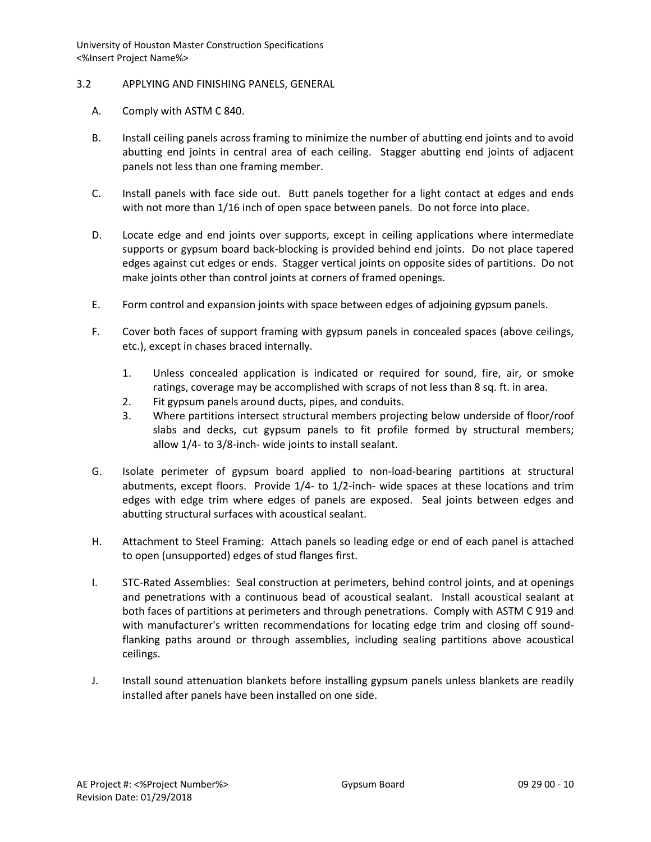### 3.2 APPLYING AND FINISHING PANELS, GENERAL

- A. Comply with ASTM C 840.
- B. Install ceiling panels across framing to minimize the number of abutting end joints and to avoid abutting end joints in central area of each ceiling. Stagger abutting end joints of adjacent panels not less than one framing member.
- C. Install panels with face side out. Butt panels together for a light contact at edges and ends with not more than 1/16 inch of open space between panels. Do not force into place.
- D. Locate edge and end joints over supports, except in ceiling applications where intermediate supports or gypsum board back-blocking is provided behind end joints. Do not place tapered edges against cut edges or ends. Stagger vertical joints on opposite sides of partitions. Do not make joints other than control joints at corners of framed openings.
- E. Form control and expansion joints with space between edges of adjoining gypsum panels.
- F. Cover both faces of support framing with gypsum panels in concealed spaces (above ceilings, etc.), except in chases braced internally.
	- 1. Unless concealed application is indicated or required for sound, fire, air, or smoke ratings, coverage may be accomplished with scraps of not less than 8 sq. ft. in area.
	- 2. Fit gypsum panels around ducts, pipes, and conduits.
	- 3. Where partitions intersect structural members projecting below underside of floor/roof slabs and decks, cut gypsum panels to fit profile formed by structural members; allow 1/4- to 3/8-inch- wide joints to install sealant.
- G. Isolate perimeter of gypsum board applied to non-load-bearing partitions at structural abutments, except floors. Provide 1/4- to 1/2-inch- wide spaces at these locations and trim edges with edge trim where edges of panels are exposed. Seal joints between edges and abutting structural surfaces with acoustical sealant.
- H. Attachment to Steel Framing: Attach panels so leading edge or end of each panel is attached to open (unsupported) edges of stud flanges first.
- I. STC-Rated Assemblies: Seal construction at perimeters, behind control joints, and at openings and penetrations with a continuous bead of acoustical sealant. Install acoustical sealant at both faces of partitions at perimeters and through penetrations. Comply with ASTM C 919 and with manufacturer's written recommendations for locating edge trim and closing off soundflanking paths around or through assemblies, including sealing partitions above acoustical ceilings.
- J. Install sound attenuation blankets before installing gypsum panels unless blankets are readily installed after panels have been installed on one side.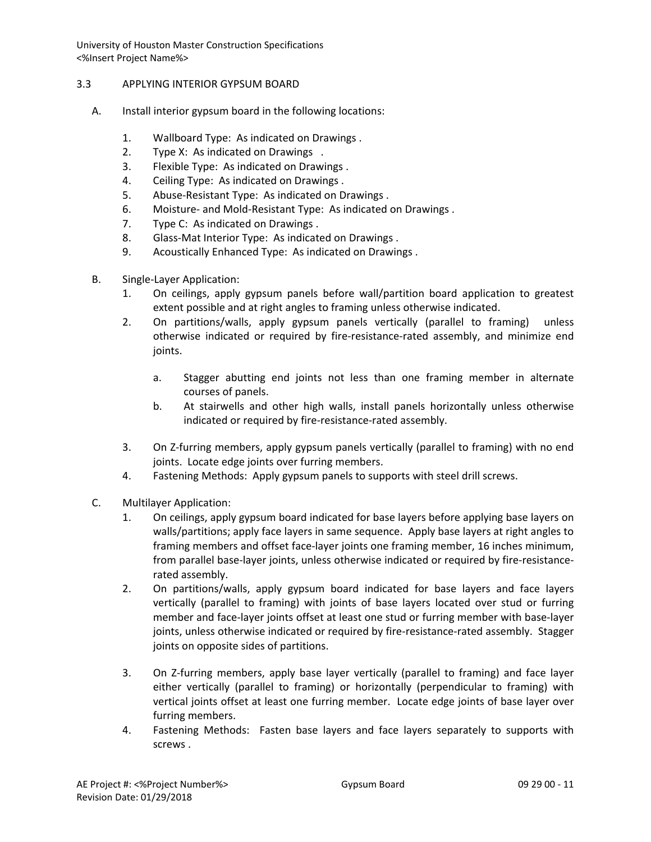# 3.3 APPLYING INTERIOR GYPSUM BOARD

- A. Install interior gypsum board in the following locations:
	- 1. Wallboard Type: As indicated on Drawings .
	- 2. Type X: As indicated on Drawings .
	- 3. Flexible Type: As indicated on Drawings .
	- 4. Ceiling Type: As indicated on Drawings .
	- 5. Abuse-Resistant Type: As indicated on Drawings .
	- 6. Moisture- and Mold-Resistant Type: As indicated on Drawings .
	- 7. Type C: As indicated on Drawings .
	- 8. Glass-Mat Interior Type: As indicated on Drawings .
	- 9. Acoustically Enhanced Type: As indicated on Drawings .
- B. Single-Layer Application:
	- 1. On ceilings, apply gypsum panels before wall/partition board application to greatest extent possible and at right angles to framing unless otherwise indicated.
	- 2. On partitions/walls, apply gypsum panels vertically (parallel to framing) unless otherwise indicated or required by fire-resistance-rated assembly, and minimize end joints.
		- a. Stagger abutting end joints not less than one framing member in alternate courses of panels.
		- b. At stairwells and other high walls, install panels horizontally unless otherwise indicated or required by fire-resistance-rated assembly.
	- 3. On Z-furring members, apply gypsum panels vertically (parallel to framing) with no end joints. Locate edge joints over furring members.
	- 4. Fastening Methods: Apply gypsum panels to supports with steel drill screws.
- C. Multilayer Application:
	- 1. On ceilings, apply gypsum board indicated for base layers before applying base layers on walls/partitions; apply face layers in same sequence. Apply base layers at right angles to framing members and offset face-layer joints one framing member, 16 inches minimum, from parallel base-layer joints, unless otherwise indicated or required by fire-resistancerated assembly.
	- 2. On partitions/walls, apply gypsum board indicated for base layers and face layers vertically (parallel to framing) with joints of base layers located over stud or furring member and face-layer joints offset at least one stud or furring member with base-layer joints, unless otherwise indicated or required by fire-resistance-rated assembly. Stagger joints on opposite sides of partitions.
	- 3. On Z-furring members, apply base layer vertically (parallel to framing) and face layer either vertically (parallel to framing) or horizontally (perpendicular to framing) with vertical joints offset at least one furring member. Locate edge joints of base layer over furring members.
	- 4. Fastening Methods: Fasten base layers and face layers separately to supports with screws .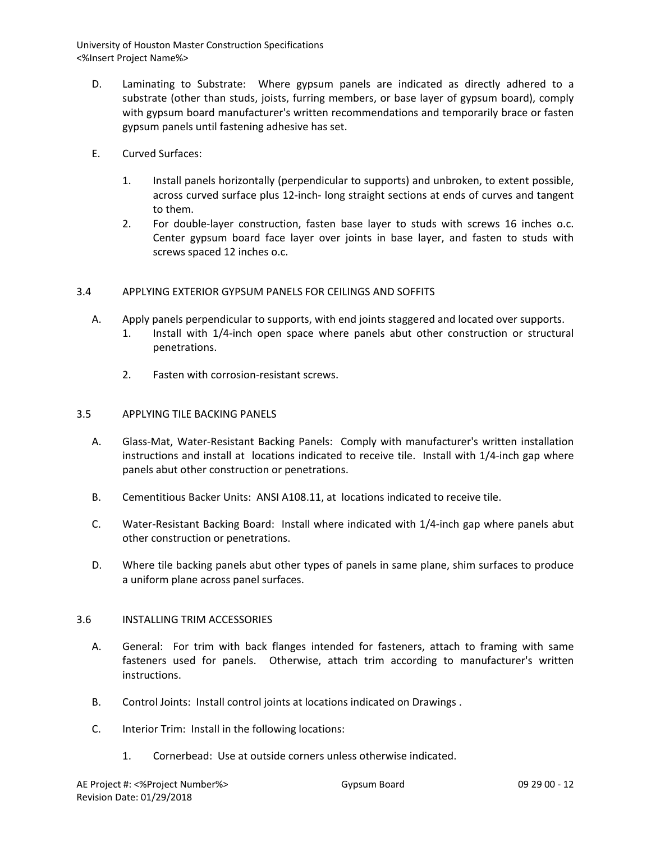- D. Laminating to Substrate: Where gypsum panels are indicated as directly adhered to a substrate (other than studs, joists, furring members, or base layer of gypsum board), comply with gypsum board manufacturer's written recommendations and temporarily brace or fasten gypsum panels until fastening adhesive has set.
- E. Curved Surfaces:
	- 1. Install panels horizontally (perpendicular to supports) and unbroken, to extent possible, across curved surface plus 12-inch- long straight sections at ends of curves and tangent to them.
	- 2. For double-layer construction, fasten base layer to studs with screws 16 inches o.c. Center gypsum board face layer over joints in base layer, and fasten to studs with screws spaced 12 inches o.c.

# 3.4 APPLYING EXTERIOR GYPSUM PANELS FOR CEILINGS AND SOFFITS

- A. Apply panels perpendicular to supports, with end joints staggered and located over supports.
	- 1. Install with 1/4-inch open space where panels abut other construction or structural penetrations.
	- 2. Fasten with corrosion-resistant screws.

#### 3.5 APPLYING TILE BACKING PANELS

- A. Glass-Mat, Water-Resistant Backing Panels: Comply with manufacturer's written installation instructions and install at locations indicated to receive tile. Install with 1/4-inch gap where panels abut other construction or penetrations.
- B. Cementitious Backer Units: ANSI A108.11, at locations indicated to receive tile.
- C. Water-Resistant Backing Board: Install where indicated with 1/4-inch gap where panels abut other construction or penetrations.
- D. Where tile backing panels abut other types of panels in same plane, shim surfaces to produce a uniform plane across panel surfaces.

# 3.6 INSTALLING TRIM ACCESSORIES

- A. General: For trim with back flanges intended for fasteners, attach to framing with same fasteners used for panels. Otherwise, attach trim according to manufacturer's written instructions.
- B. Control Joints: Install control joints at locations indicated on Drawings .
- C. Interior Trim: Install in the following locations:
	- 1. Cornerbead: Use at outside corners unless otherwise indicated.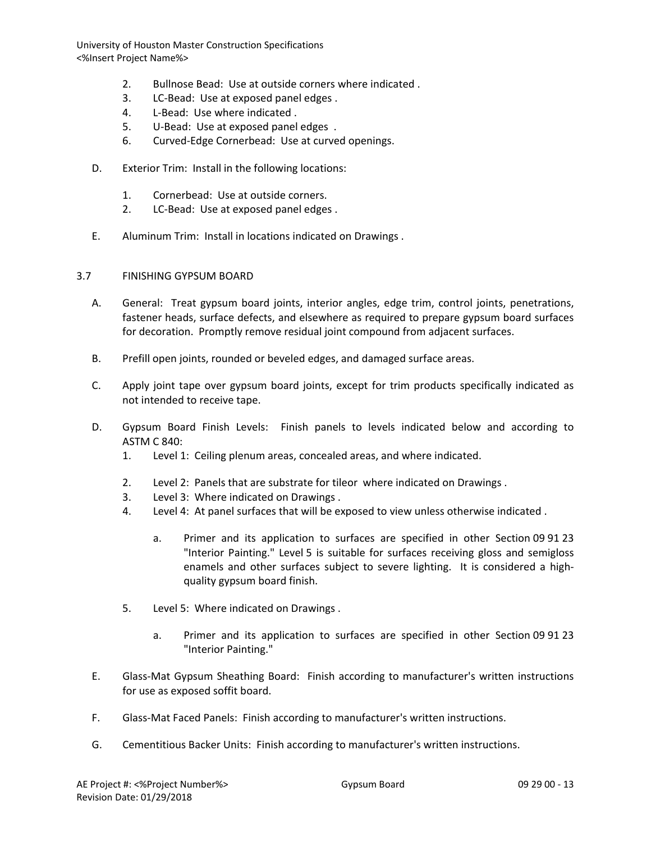- 2. Bullnose Bead: Use at outside corners where indicated .
- 3. LC-Bead: Use at exposed panel edges .
- 4. L-Bead: Use where indicated .
- 5. U-Bead: Use at exposed panel edges .
- 6. Curved-Edge Cornerbead: Use at curved openings.
- D. Exterior Trim: Install in the following locations:
	- 1. Cornerbead: Use at outside corners.
	- 2. LC-Bead: Use at exposed panel edges .
- E. Aluminum Trim: Install in locations indicated on Drawings .
- 3.7 FINISHING GYPSUM BOARD
	- A. General: Treat gypsum board joints, interior angles, edge trim, control joints, penetrations, fastener heads, surface defects, and elsewhere as required to prepare gypsum board surfaces for decoration. Promptly remove residual joint compound from adjacent surfaces.
	- B. Prefill open joints, rounded or beveled edges, and damaged surface areas.
	- C. Apply joint tape over gypsum board joints, except for trim products specifically indicated as not intended to receive tape.
	- D. Gypsum Board Finish Levels: Finish panels to levels indicated below and according to ASTM C 840:
		- 1. Level 1: Ceiling plenum areas, concealed areas, and where indicated.
		- 2. Level 2: Panels that are substrate for tileor where indicated on Drawings .
		- 3. Level 3: Where indicated on Drawings .
		- 4. Level 4: At panel surfaces that will be exposed to view unless otherwise indicated .
			- a. Primer and its application to surfaces are specified in other Section 09 91 23 "Interior Painting." Level 5 is suitable for surfaces receiving gloss and semigloss enamels and other surfaces subject to severe lighting. It is considered a highquality gypsum board finish.
		- 5. Level 5: Where indicated on Drawings .
			- a. Primer and its application to surfaces are specified in other Section 09 91 23 "Interior Painting."
	- E. Glass-Mat Gypsum Sheathing Board: Finish according to manufacturer's written instructions for use as exposed soffit board.
	- F. Glass-Mat Faced Panels: Finish according to manufacturer's written instructions.
	- G. Cementitious Backer Units: Finish according to manufacturer's written instructions.